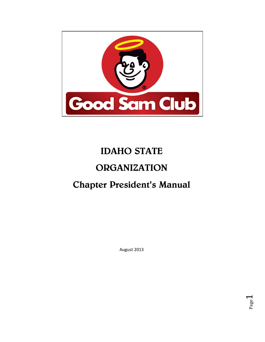

# IDAHO STATE **ORGANIZATION** Chapter President's Manual

August 2013

Page  $\overline{\phantom{0}}$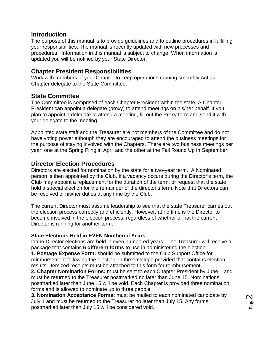## **Introduction**

The purpose of this manual is to provide guidelines and to outline procedures in fulfilling your responsibilities. The manual is recently updated with new processes and procedures. Information in this manual is subject to change. When information is updated you will be notified by your State Director.

## **Chapter President Responsibilities**

Work with members of your Chapter to keep operations running smoothly Act as Chapter delegate to the State Committee.

# **State Committee**

The Committee is comprised of each Chapter President within the state. A Chapter President can appoint a delegate (proxy) to attend meetings on his/her behalf. If you plan to appoint a delegate to attend a meeting, fill out the Proxy form and send it with your delegate to the meeting.

Appointed state staff and the Treasurer are not members of the Committee and do not have voting power although they are encouraged to attend the business meetings for the purpose of staying involved with the Chapters. There are two business meetings per year, one at the Spring Fling in April and the other at the Fall Round Up in September.

## **Director Election Procedures**

Directors are elected for nomination by the state for a two-year term. A Nominated person is then appointed by the Club. If a vacancy occurs during the Director's term, the Club may appoint a replacement for the duration of the term, or request that the state hold a special election for the remainder of the director's term. Note that Directors can be resolved of his/her duties at any time by the Club.

The current Director must assume leadership to see that the state Treasurer carries out the election process correctly and efficiently. However, at no time is the Director to become involved in the election process, regardless of whether or not the current Director is running for another term.

## **State Elections Held in EVEN Numbered Years**

Idaho Director elections are held in even numbered years. The Treasurer will receive a package that contains **6 different forms** to use in administering the election.

**1. Postage Expense Form:** should be submitted to the Club Support Office for reimbursement following the election, in the envelope provided that contains election results. Itemized receipts must be attached to this form for reimbursement.

**2. Chapter Nomination Forms:** must be sent to each Chapter President by June 1 and must be returned to the Treasurer postmarked no later than June 15. Nominations postmarked later than June 15 will be void. Each Chapter is provided three nomination forms and is allowed to nominate up to three people.

**3. Nomination Acceptance Forms:** must be mailed to each nominated candidate by July 1 and must be returned to the Treasurer no later than July 15. Any forms postmarked later than July 15 will be considered void.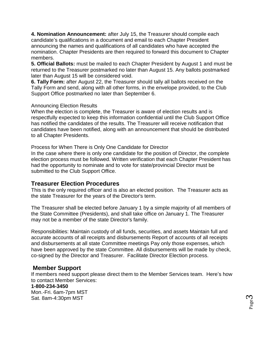**4. Nomination Announcement:** after July 15, the Treasurer should compile each candidate's qualifications in a document and email to each Chapter President announcing the names and qualifications of all candidates who have accepted the nomination. Chapter Presidents are then required to forward this document to Chapter members.

**5. Official Ballots:** must be mailed to each Chapter President by August 1 and must be returned to the Treasurer postmarked no later than August 15. Any ballots postmarked later than August 15 will be considered void.

**6. Tally Form:** after August 22, the Treasurer should tally all ballots received on the Tally Form and send, along with all other forms, in the envelope provided, to the Club Support Office postmarked no later than September 6.

## Announcing Election Results

When the election is complete, the Treasurer is aware of election results and is respectfully expected to keep this information confidential until the Club Support Office has notified the candidates of the results. The Treasurer will receive notification that candidates have been notified, along with an announcement that should be distributed to all Chapter Presidents.

Process for When There is Only One Candidate for Director

In the case where there is only one candidate for the position of Director, the complete election process must be followed. Written verification that each Chapter President has had the opportunity to nominate and to vote for state/provincial Director must be submitted to the Club Support Office.

## **Treasurer Election Procedures**

This is the only required officer and is also an elected position. The Treasurer acts as the state Treasurer for the years of the Director's term.

The Treasurer shall be elected before January 1 by a simple majority of all members of the State Committee (Presidents), and shall take office on January 1. The Treasurer may not be a member of the state Director's family.

Responsibilities: Maintain custody of all funds, securities, and assets Maintain full and accurate accounts of all receipts and disbursements Report of accounts of all receipts and disbursements at all state Committee meetings Pay only those expenses, which have been approved by the state Committee. All disbursements will be made by check, co-signed by the Director and Treasurer. Facilitate Director Election process.

## **Member Support**

If members need support please direct them to the Member Services team. Here's how to contact Member Services:

## **1-800-234-3450**

Mon.-Fri. 6am-7pm MST Sat. 8am-4:30pm MST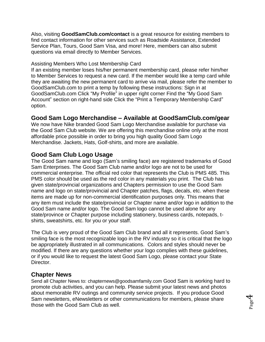Also, visiting **GoodSamClub.com/contact** is a great resource for existing members to find contact information for other services such as Roadside Assistance, Extended Service Plan, Tours, Good Sam Visa, and more! Here, members can also submit questions via email directly to Member Services.

## Assisting Members Who Lost Membership Card

If an existing member loses his/her permanent membership card, please refer him/her to Member Services to request a new card. If the member would like a temp card while they are awaiting the new permanent card to arrive via mail, please refer the member to GoodSamClub.com to print a temp by following these instructions: Sign in at GoodSamClub.com Click "My Profile" in upper right corner Find the "My Good Sam Account" section on right-hand side Click the "Print a Temporary Membership Card" option.

## **Good Sam Logo Merchandise – Available at GoodSamClub.com/gear**

We now have Nike branded Good Sam Logo Merchandise available for purchase via the Good Sam Club website. We are offering this merchandise online only at the most affordable price possible in order to bring you high quality Good Sam Logo Merchandise. Jackets, Hats, Golf-shirts, and more are available.

## **Good Sam Club Logo Usage**

The Good Sam name and logo (Sam's smiling face) are registered trademarks of Good Sam Enterprises. The Good Sam Club name and/or logo are not to be used for commercial enterprise. The official red color that represents the Club is PMS 485. This PMS color should be used as the red color in any materials you print. The Club has given state/provincial organizations and Chapters permission to use the Good Sam name and logo on state/provincial and Chapter patches, flags, decals, etc. when these items are made up for non-commercial identification purposes only. This means that any item must include the state/provincial or Chapter name and/or logo in addition to the Good Sam name and/or logo. The Good Sam logo cannot be used alone for any state/province or Chapter purpose including stationery, business cards, notepads, tshirts, sweatshirts, etc. for you or your staff.

The Club is very proud of the Good Sam Club brand and all it represents. Good Sam's smiling face is the most recognizable logo in the RV industry so it is critical that the logo be appropriately illustrated in all communications. Colors and styles should never be modified. If there are any questions whether your logo complies with these guidelines, or if you would like to request the latest Good Sam Logo, please contact your State Director.

## **Chapter News**

Send all Chapter News to: chapternews@goodsamfamily.com Good Sam is working hard to promote club activities, and you can help. Please submit your latest news and photos about memorable RV outings and community service projects. If you produce Good Sam newsletters, eNewsletters or other communications for members, please share those with the Good Sam Club as well.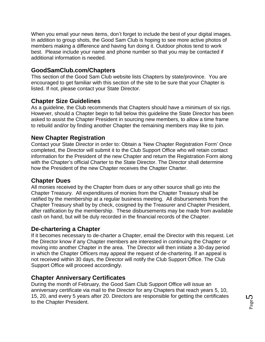When you email your news items, don't forget to include the best of your digital images. In addition to group shots, the Good Sam Club is hoping to see more active photos of members making a difference and having fun doing it. Outdoor photos tend to work best. Please include your name and phone number so that you may be contacted if additional information is needed.

# **GoodSamClub.com/Chapters**

This section of the Good Sam Club website lists Chapters by state/province. You are encouraged to get familiar with this section of the site to be sure that your Chapter is listed. If not, please contact your State Director.

## **Chapter Size Guidelines**

As a guideline, the Club recommends that Chapters should have a minimum of six rigs. However, should a Chapter begin to fall below this guideline the State Director has been asked to assist the Chapter President in sourcing new members, to allow a time frame to rebuild and/or by finding another Chapter the remaining members may like to join.

## **New Chapter Registration**

Contact your State Director in order to: Obtain a 'New Chapter Registration Form' Once completed, the Director will submit it to the Club Support Office who will retain contact information for the President of the new Chapter and return the Registration Form along with the Chapter's official Charter to the State Director. The Director shall determine how the President of the new Chapter receives the Chapter Charter.

## **Chapter Dues**

All monies received by the Chapter from dues or any other source shall go into the Chapter Treasury. All expenditures of monies from the Chapter Treasury shall be ratified by the membership at a regular business meeting. All disbursements from the Chapter Treasury shall by by check, cosigned by the Treasurer and Chapter President, after ratification by the membership. These disbursements may be made from available cash on hand, but will be duly recorded in the financial records of the Chapter.

## **De-chartering a Chapter**

If it becomes necessary to de-charter a Chapter, email the Director with this request. Let the Director know if any Chapter members are interested in continuing the Chapter or moving into another Chapter in the area. The Director will then initiate a 30-day period in which the Chapter Officers may appeal the request of de-chartering. If an appeal is not received within 30 days, the Director will notify the Club Support Office. The Club Support Office will proceed accordingly.

## **Chapter Anniversary Certificates**

During the month of February, the Good Sam Club Support Office will issue an anniversary certificate via mail to the Director for any Chapters that reach years 5, 10, 15, 20, and every 5 years after 20. Directors are responsible for getting the certificates to the Chapter President.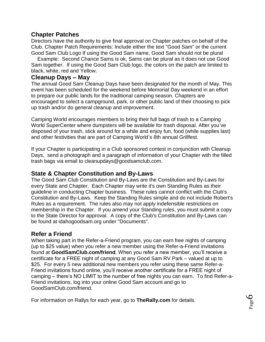## **Chapter Patches**

Directors have the authority to give final approval on Chapter patches on behalf of the Club. Chapter Patch Requirements: Include either the text "Good Sam" or the current Good Sam Club Logo If using the Good Sam name, Good Sam should not be plural

 Example: Second Chance Sams is ok, Sams can be plural as it does not use Good Sam together. If using the Good Sam Club logo, the colors on the patch are limited to black, white, red and Yellow.

## **Cleanup Days – May**

The annual Good Sam Cleanup Days have been designated for the month of May. This event has been scheduled for the weekend before Memorial Day weekend in an effort to prepare our public lands for the traditional camping season. Chapters are encouraged to select a campground, park, or other public land of their choosing to pick up trash and/or do general cleanup and improvement.

Camping World encourages members to bring their full bags of trash to a Camping World SuperCenter where dumpsters will be available for trash disposal. After you've disposed of your trash, stick around for a while and enjoy fun, food (while supplies last) and other festivities that are part of Camping World's 8th annual Grillfest.

If your Chapter is participating in a Club sponsored contest in conjunction with Cleanup Days, send a photograph and a paragraph of information of your Chapter with the filled trash bags via email to cleanupdays@goodsamclub.com.

# **State & Chapter Constitution and By-Laws**

The Good Sam Club Constitution and By-Laws are the Constitution and By-Laws for every State and Chapter. Each Chapter may write it's own Standing Rules as their guideline in conducting Chapter business. These rules cannot conflict with the Club's Constitution and By-Laws. Keep the Standing Rules simple and do not include Robert's Rules as a requirement. The rules also may not apply indefensible restrictions on membership in the Chapter. If you amend your Standing rules, you must submit a copy to the State Director for approval. A copy of the Club's Constitution and By-Laws can be found at idahogoodsam.org under "Documents".

## **Refer a Friend**

When taking part in the Refer-a-Friend program, you can earn free nights of camping (up to \$25 value) when you refer a new member using the Refer-a-Friend invitations found at **GoodSamClub.com/friend**. When you refer a new member, you'll receive a certificate for a FREE night of camping at any Good Sam RV Park – valued at up to \$25. For every 5 new additional new members you refer using these same Refer-a-Friend invitations found online, you'll receive another certificate for a FREE night of camping – there's NO LIMIT to the number of free nights you can earn. To find Refer-a-Friend invitations, log into your online Good Sam account and go to GoodSamClub.com/friend.

For information on Rallys for each year, go to **TheRally.com** for details.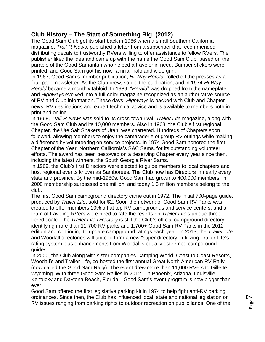# **Club History – The Start of Something Big (2012)**

The Good Sam Club got its start back in 1966 when a small Southern California magazine, *Trail-R-News*, published a letter from a subscriber that recommended distributing decals to trustworthy RVers willing to offer assistance to fellow RVers. The publisher liked the idea and came up with the name the Good Sam Club, based on the parable of the Good Samaritan who helped a traveler in need. Bumper stickers were printed, and Good Sam got his now-familiar halo and wide grin.

In 1967, Good Sam's member publication, *Hi-Way Herald*, rolled off the presses as a four-page newsletter. As the Club grew, so did the publication, and in 1974 *Hi-Way Herald* became a monthly tabloid. In 1989, "*Herald*" was dropped from the nameplate, and *Highways* evolved into a full-color magazine recognized as an authoritative source of RV and Club information. These days, *Highways* is packed with Club and Chapter news, RV destinations and expert technical advice and is available to members both in print and online.

In 1968, *Trail-R-News* was sold to its cross-town rival, *Trailer Life* magazine, along with the Good Sam Club and its 10,000 members. Also in 1968, the Club's first regional Chapter, the Ute Salt Shakers of Utah, was chartered. Hundreds of Chapters soon followed, allowing members to enjoy the camaraderie of group RV outings while making a difference by volunteering on service projects. In 1974 Good Sam honored the first Chapter of the Year, Northern California's SAC Sams, for its outstanding volunteer efforts. The award has been bestowed on a deserving Chapter every year since then, including the latest winners, the South Georgia River Sams.

In 1969, the Club's first Directors were elected to guide members to local chapters and host regional events known as Samborees. The Club now has Directors in nearly every state and province. By the mid-1980s, Good Sam had grown to 400,000 members, in 2000 membership surpassed one million, and today 1.3 million members belong to the club.

The first Good Sam campground directory came out in 1972. The initial 700-page guide, produced by *Trailer Life*, sold for \$2. Soon the network of Good Sam RV Parks was created to offer members 10% off at top RV campgrounds and service centers, and a team of traveling RVers were hired to rate the resorts on *Trailer Life*'s unique threetiered scale. The *Trailer Life Directory* is still the Club's official campground directory, identifying more than 11,700 RV parks and 1,700+ Good Sam RV Parks in the 2012 edition and continuing to update campground ratings each year. In 2013, the *Trailer Life*  and Woodall directories will unite to form a new "super directory," utilizing Trailer Life's rating system plus enhancements from Woodall's equally esteemed campground guides.

In 2000, the Club along with sister companies Camping World, Coast to Coast Resorts, Woodall's and Trailer Life, co-hosted the first annual Great North American RV Rally (now called the Good Sam Rally). The event drew more than 11,000 RVers to Gillette, Wyoming. With three Good Sam Rallies in 2012—in Phoenix, Arizona, Louisville, Kentucky and Daytona Beach, Florida—Good Sam's event program is now bigger than ever!

Good Sam offered the first legislative parking kit in 1974 to help fight anti-RV parking ordinances. Since then, the Club has influenced local, state and national legislation on RV issues ranging from parking rights to outdoor recreation on public lands. One of the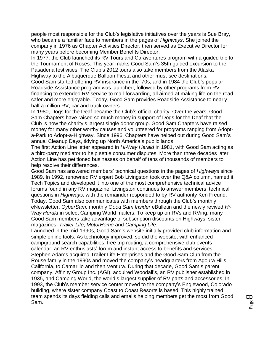people most responsible for the Club's legislative initiatives over the years is Sue Bray, who became a familiar face to members in the pages of *Highways*. She joined the company in 1976 as Chapter Activities Director, then served as Executive Director for many years before becoming Member Benefits Director.

In 1977, the Club launched its RV Tours and Caraventures program with a guided trip to the Tournament of Roses. This year marks Good Sam's 35th guided excursion to the Pasadena festivities. The Club's 2012 tours also take members from the Alaska Highway to the Albuquerque Balloon Fiesta and other must-see destinations. Good Sam started offering RV insurance in the '70s, and in 1984 the Club's popular Roadside Assistance program was launched, followed by other programs from RV financing to extended RV service to mail-forwarding, all aimed at making life on the road safer and more enjoyable. Today, Good Sam provides Roadside Assistance to nearly half a million RV, car and truck owners.

In 1980, Dogs for the Deaf became the Club's official charity. Over the years, Good Sam Chapters have raised so much money in support of Dogs for the Deaf that the Club is now the charity's largest single donor group. Good Sam Chapters have raised money for many other worthy causes and volunteered for programs ranging from Adopta-Park to Adopt-a-Highway. Since 1996, Chapters have helped out during Good Sam's annual Cleanup Days, tidying up North America's public lands.

The first Action Line letter appeared in *Hi-Way Herald* in 1981, with Good Sam acting as a third-party mediator to help settle consumer disputes. More than three decades later, Action Line has petitioned businesses on behalf of tens of thousands of members to help resolve their differences.

Good Sam has answered members' technical questions in the pages of *Highways* since 1989. In 1992, renowned RV expert Bob Livingston took over the Q&A column, named it Tech Topics and developed it into one of the most comprehensive technical advice forums found in any RV magazine. Livingston continues to answer members' technical questions in *Highways*, with the remainder responded to by RV authority Ken Freund. Today, Good Sam also communicates with members through the Club's monthly eNewsletter, *CyberSam*, monthly *Good Sam Insider* eBulletin and the newly revived *Hi-Way Herald* in select Camping World mailers. To keep up on RVs and RVing, many Good Sam members take advantage of subscription discounts on Highways' sister magazines, *Trailer Life*, *MotorHome* and *Camping Life*.

Launched in the mid-1990s, Good Sam's website initially provided club information and simple online tools. As technology improved, so did the website, with enhanced campground search capabilities, free trip routing, a comprehensive club events calendar, an RV enthusiasts' forum and instant access to benefits and services. Stephen Adams acquired Trailer Life Enterprises and the Good Sam Club from the Rouse family in the 1990s and moved the company's headquarters from Agoura Hills, California, to Camarillo and then Ventura. During that decade, Good Sam's parent company, Affinity Group Inc. (AGI), acquired Woodall's, an RV publisher established in 1935, and Camping World, the world's largest supplier of RV parts and accessories. In 1993, the Club's member service center moved to the company's Englewood, Colorado building, where sister company Coast to Coast Resorts is based. This highly trained team spends its days fielding calls and emails helping members get the most from Good Sam.